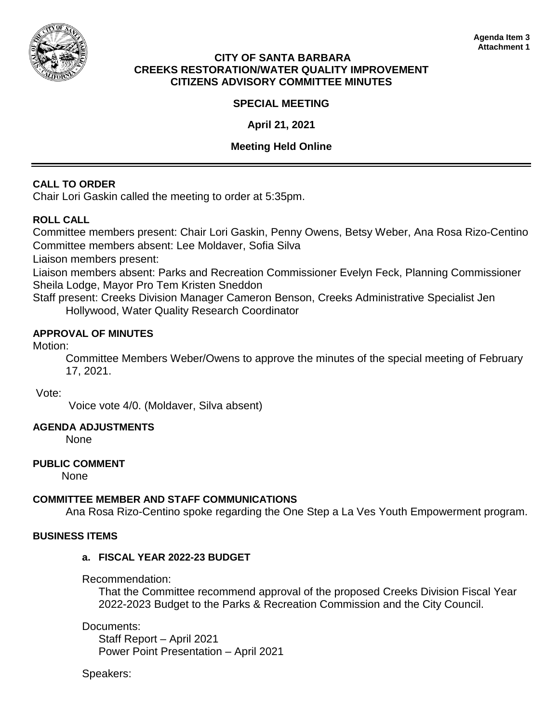

### **CITY OF SANTA BARBARA CREEKS RESTORATION/WATER QUALITY IMPROVEMENT CITIZENS ADVISORY COMMITTEE MINUTES**

# **SPECIAL MEETING**

**April 21, 2021**

## **Meeting Held Online**

# **CALL TO ORDER**

Chair Lori Gaskin called the meeting to order at 5:35pm.

# **ROLL CALL**

Committee members present: Chair Lori Gaskin, Penny Owens, Betsy Weber, Ana Rosa Rizo-Centino Committee members absent: Lee Moldaver, Sofia Silva

Liaison members present:

Liaison members absent: Parks and Recreation Commissioner Evelyn Feck, Planning Commissioner Sheila Lodge, Mayor Pro Tem Kristen Sneddon

Staff present: Creeks Division Manager Cameron Benson, Creeks Administrative Specialist Jen Hollywood, Water Quality Research Coordinator

### **APPROVAL OF MINUTES**

### Motion:

Committee Members Weber/Owens to approve the minutes of the special meeting of February 17, 2021.

#### Vote:

Voice vote 4/0. (Moldaver, Silva absent)

# **AGENDA ADJUSTMENTS**

None

# **PUBLIC COMMENT**

None

# **COMMITTEE MEMBER AND STAFF COMMUNICATIONS**

Ana Rosa Rizo-Centino spoke regarding the One Step a La Ves Youth Empowerment program.

#### **BUSINESS ITEMS**

#### **a. FISCAL YEAR 2022-23 BUDGET**

Recommendation:

That the Committee recommend approval of the proposed Creeks Division Fiscal Year 2022-2023 Budget to the Parks & Recreation Commission and the City Council.

Documents:

Staff Report – April 2021 Power Point Presentation – April 2021

Speakers: